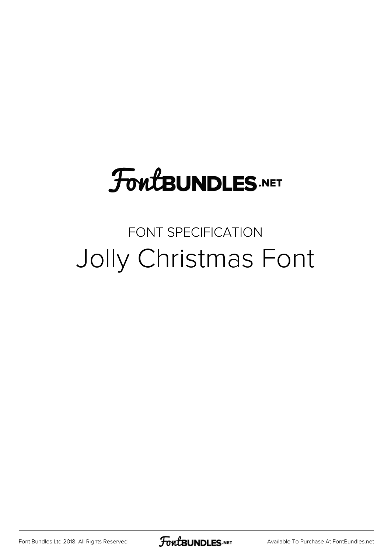# **FoutBUNDLES.NET**

## FONT SPECIFICATION Jolly Christmas Font

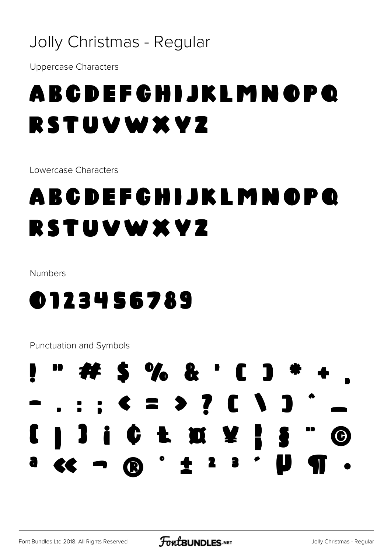## Jolly Christmas - Regular

**Uppercase Characters** 

## A B C D E F C H I J K L M N O P Q RSTUVWXVZ

Lowercase Characters

## **ABCDEFGHIJKLMNOPQ** RSTUVWXVZ

Numbers

## 0123456789

**Punctuation and Symbols** 

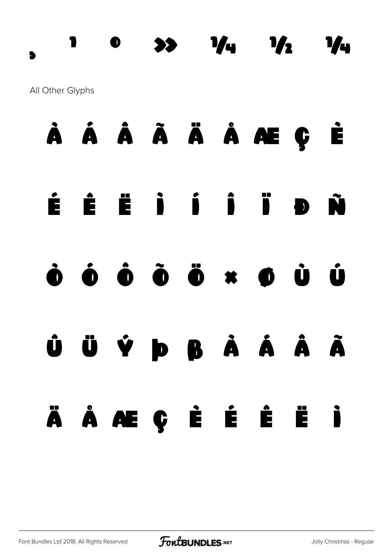### All Other Glyphs



¸ ¹ º » ¼ ½ ¾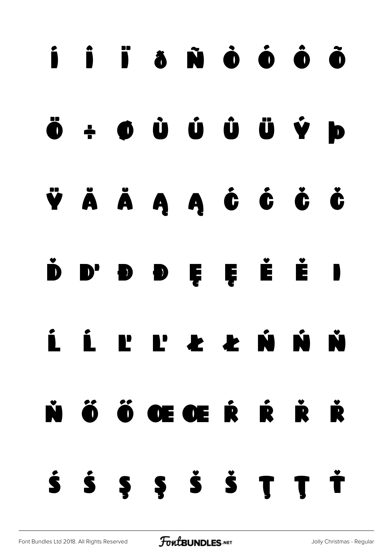# í î ï ð ñ ò ó ô õ ö ÷ ø ù ú û ü ý þ ÿ Ă ă Ą ą Ć ć Č č  $\dot{\mathbf{D}}$   $\mathbf{D}$   $\mathbf{D}$   $\mathbf{D}$   $\mathbf{E}$   $\mathbf{E}$   $\mathbf{E}$   $\mathbf{E}$   $\mathbf{I}$ Ĺ ĺ Ľ ľ Ł ł Ń ń Ň Ő Ő Œ Œ Ŕ Ŕ Ř Ř  $\dot{\bf S}$   $\dot{\bf S}$   $\bf S$   $\dot{\bf S}$   $\dot{\bf S}$   $\bf T$   $\dot{\bf T}$   $\dot{\bf T}$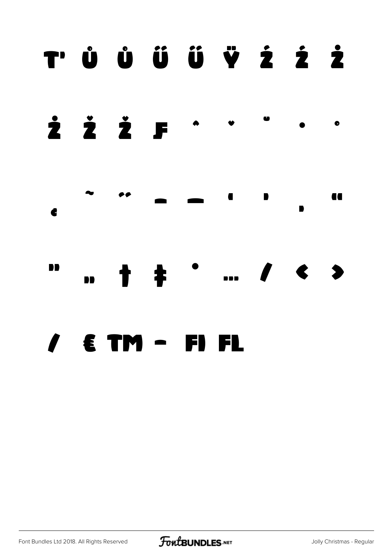## T'ŮŮÜÜŸŹŹŻ







#### $\epsilon$  TM - FI  $\mathbf{\Gamma}$ FL

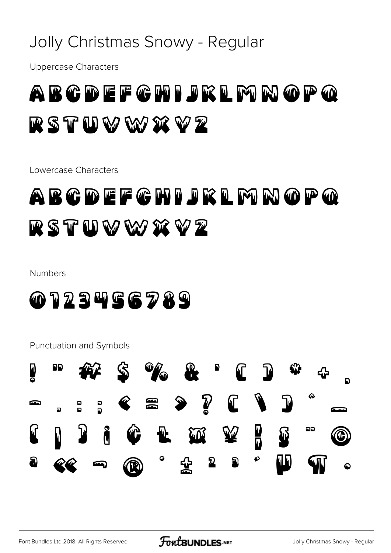## Jolly Christmas Snowy - Regular

**Uppercase Characters** 



Lowercase Characters

## ABCDEFCHIJKLMNOPQ RSTUWWXVZ

### **Numbers**



**Punctuation and Symbols** 

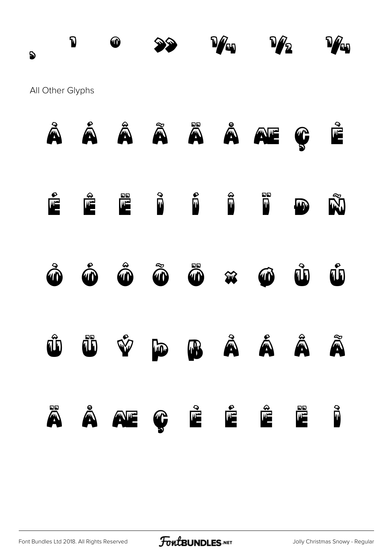# , D  $\circledcirc$   $\circledcirc$   $\circledcirc$   $\circledcirc$   $\circledcirc$   $\circledcirc$   $\circledcirc$   $\circledcirc$ All Other Glyphs À Á Â Ã Ä Å Æ Ç È







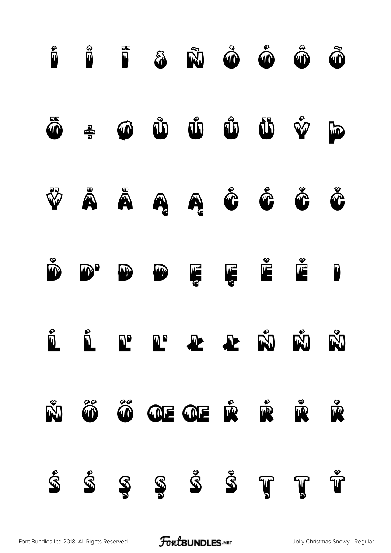

[Font Bundles Ltd 2018. All Rights Reserved](https://fontbundles.net/) **FoutBUNDLES.NET** [Jolly Christmas Snowy - Regular](https://fontbundles.net/)